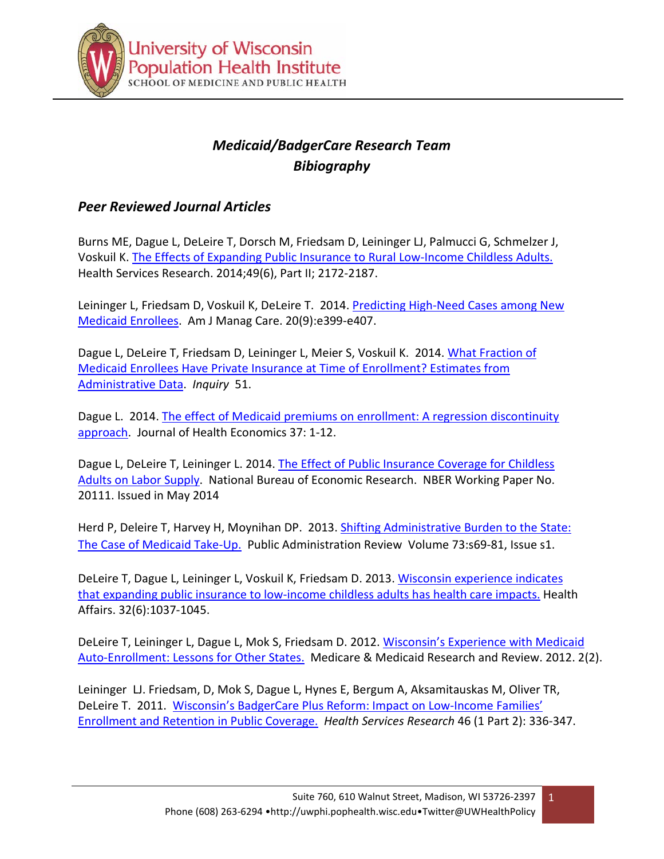

# *Medicaid/BadgerCare Research Team Bibiography*

### *Peer Reviewed Journal Articles*

Burns ME, Dague L, DeLeire T, Dorsch M, Friedsam D, Leininger LJ, Palmucci G, Schmelzer J, Voskuil K. The [Effects of Expanding Public Insurance to Rural Low-](http://www.hsr.org/hsr/abstract.jsp?aid=4977265382)Income Childless Adults. Health Services Research. 2014;49(6), Part II; 2172-2187.

Leininger L, Friedsam D, Voskuil K, DeLeire T. 2014. Predicting High-[Need Cases among New](http://www.ajmc.com/publications/issue/2014/2014-vol20-n9/Predicting-High-Need-Cases-Among-New-Medicaid-Enrollees)  [Medicaid Enrollees.](http://www.ajmc.com/publications/issue/2014/2014-vol20-n9/Predicting-High-Need-Cases-Among-New-Medicaid-Enrollees) Am J Manag Care. 20(9):e399-e407.

Dague L, DeLeire T, Friedsam D, Leininger L, Meier S, Voskuil K. 2014. [What Fraction of](http://inq.sagepub.com/content/51/0046958014544020.full.pdf+html)  [Medicaid Enrollees Have Private Insurance at Time of Enrollment?](http://inq.sagepub.com/content/51/0046958014544020.full.pdf+html) [Estimates from](http://inq.sagepub.com/content/51/0046958014544020.full.pdf+html)  [Administrative Data](http://inq.sagepub.com/content/51/0046958014544020.full.pdf+html). *Inquiry* 51.

Dague L. 2014. The effect of Medicaid premiums on enrollment: A regression discontinuity [approach](http://www.sciencedirect.com/science/article/pii/S0167629614000642). Journal of Health Economics 37: 1-12.

Dague L, DeLeire T, Leininger L. 2014[. The Effect of Public Insurance Coverage for Ch](http://www.nber.org/papers/w20111)ildless [Adults on Labor Supply](http://www.nber.org/papers/w20111). National Bureau of Economic Research. NBER Working Paper No. 20111. Issued in May 2014

Herd P, Deleire T, Harvey H, Moynihan DP. 2013. [Shifting Administrative Burden to the State:](http://onlinelibrary.wiley.com/doi/10.1111/puar.12114/epdf) [The Case of Medicaid Take](http://onlinelibrary.wiley.com/doi/10.1111/puar.12114/epdf)-Up. Public Administration Review Volume 73:s69-81, Issue s1.

DeLeire T, Dague L, Leininger L, Voskuil K, Friedsam D. 2013. Wisconsin experience indicates that expanding public insurance to low-income childless adults has health care impacts. Health Affairs. 32(6):1037-1045.

DeLeire T, Leininger L, Dague L, Mok S, Friedsam D. 2012. Wisconsin's Experience with Medicaid Auto-Enrollment: Lessons for Other States. Medicare & Medicaid Research and Review. 2012. 2(2).

Leininger LJ. Friedsam, D, Mok S, Dague L, Hynes E, Bergum A, Aksamitauskas M, Oliver TR, DeLeire T. 2011. Wisconsin's BadgerCare Plus Reform: Impact on Low-Income Families' Enrollment and Retention in Public Coverage. *Health Services Research* 46 (1 Part 2): 336-347.

1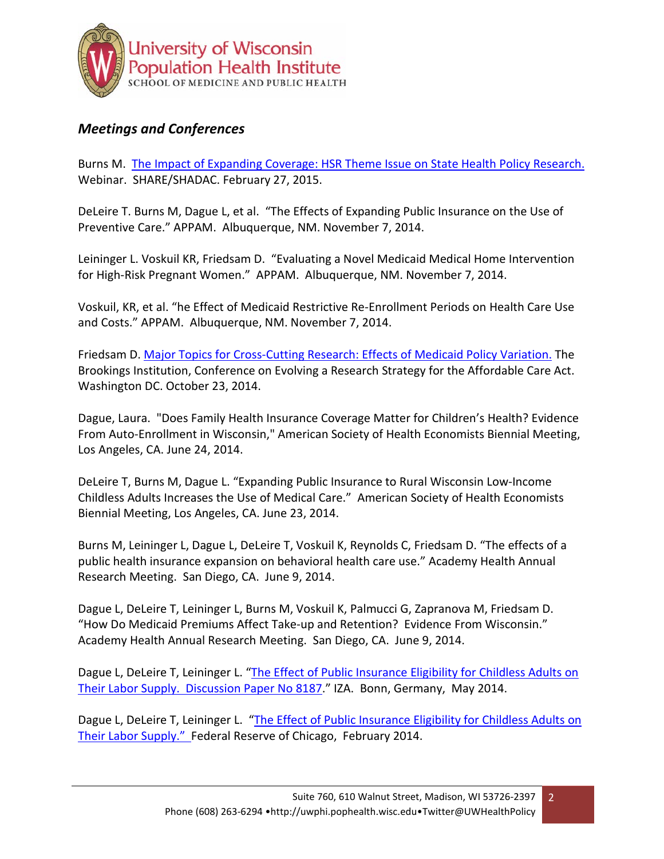

## *Meetings and Conferences*

Burns M. [The Impact of Expanding Coverage: HSR Theme Issue on State Health Policy Research.](http://www.shadac.org/news/webinar-feb-27th-highlighting-state-health-policy-research-in-hsr)  Webinar. SHARE/SHADAC. February 27, 2015.

DeLeire T. Burns M, Dague L, et al. "The Effects of Expanding Public Insurance on the Use of Preventive Care." APPAM. Albuquerque, NM. November 7, 2014.

Leininger L. Voskuil KR, Friedsam D. "Evaluating a Novel Medicaid Medical Home Intervention for High-Risk Pregnant Women." APPAM. Albuquerque, NM. November 7, 2014.

Voskuil, KR, et al. "he Effect of Medicaid Restrictive Re-Enrollment Periods on Health Care Use and Costs." APPAM. Albuquerque, NM. November 7, 2014.

Friedsam D. Major Topics for Cross-[Cutting Research: Effects of Medicaid Policy Variation.](http://www.brookings.edu/%7E/media/research/files/papers/2014/10/23%20affordable%20care%20act%20implementation%20conference/4%20%20medicaidpolicy_friedsam.pdf) The Brookings Institution, Conference on Evolving a Research Strategy for the Affordable Care Act. Washington DC. October 23, 2014.

Dague, Laura. "Does Family Health Insurance Coverage Matter for Children's Health? Evidence From Auto-Enrollment in Wisconsin," American Society of Health Economists Biennial Meeting, Los Angeles, CA. June 24, 2014.

DeLeire T, Burns M, Dague L. "Expanding Public Insurance to Rural Wisconsin Low-Income Childless Adults Increases the Use of Medical Care." American Society of Health Economists Biennial Meeting, Los Angeles, CA. June 23, 2014.

Burns M, Leininger L, Dague L, DeLeire T, Voskuil K, Reynolds C, Friedsam D. "The effects of a public health insurance expansion on behavioral health care use." Academy Health Annual Research Meeting. San Diego, CA. June 9, 2014.

Dague L, DeLeire T, Leininger L, Burns M, Voskuil K, Palmucci G, Zapranova M, Friedsam D. "How Do Medicaid Premiums Affect Take-up and Retention? Evidence From Wisconsin." Academy Health Annual Research Meeting. San Diego, CA. June 9, 2014.

Dague L, DeLeire T, Leininger L. "The Effect of Public Insurance Eligibility for Childless Adults on [Their Labor Supply. Discussion Paper No 8187](http://ftp.iza.org/dp8187.pdf)." IZA. Bonn, Germany, May 2014.

Dague L, DeLeire T, Leininger L. "The Effect of Public Insurance Eligibility for Childless Adults on [Their Labor Supply.](http://www.chicagofed.org/digital_assets/others/events/2014/affordable_care_act/chicago_fed_affordable_care_dague_deleire_leininger.pdf)" Federal Reserve of Chicago, February 2014.

2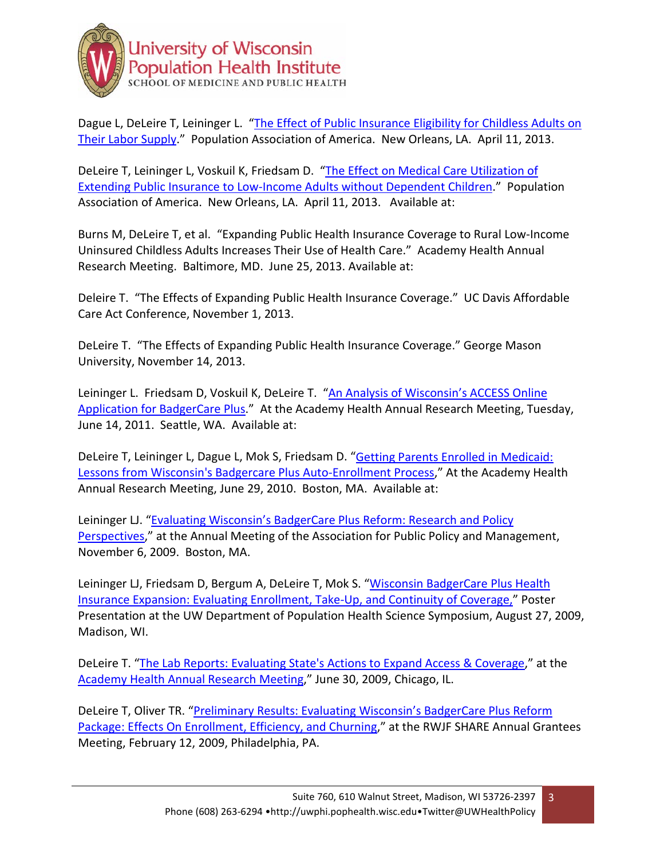

Dague L, DeLeire T, Leininger L. "The Effect of Public Insurance Eligibility for Childless Adults on [Their Labor Supply](http://paa2013.princeton.edu/abstracts/130941)." Population Association of America. New Orleans, LA. April 11, 2013.

DeLeire T, Leininger L, Voskuil K, Friedsam D. "The Effect on Medical Care Utilization of Extending Public Insurance to Low-[Income Adults without Dependent Children](http://paa2013.princeton.edu/sessions/3)." Population Association of America. New Orleans, LA. April 11, 2013. Available at:

Burns M, DeLeire T, et al. "Expanding Public Health Insurance Coverage to Rural Low-Income Uninsured Childless Adults Increases Their Use of Health Care." Academy Health Annual Research Meeting. Baltimore, MD. June 25, 2013. Available at:

Deleire T. "The Effects of Expanding Public Health Insurance Coverage." UC Davis Affordable Care Act Conference, November 1, 2013.

DeLeire T. "The Effects of Expanding Public Health Insurance Coverage." George Mason University, November 14, 2013.

Leininger L. Friedsam D, Voskuil K, DeLeire T. "[An Analysis of Wisconsin's ACCESS Online](http://www.academyhealth.org/files/2011/tuesday/leininger.pdf)  [Application for BadgerCare Plus](http://www.academyhealth.org/files/2011/tuesday/leininger.pdf)." At the Academy Health Annual Research Meeting, Tuesday, June 14, 2011. Seattle, WA. Available at:

DeLeire T, Leininger L, Dague L, Mok S, Friedsam D. "[Getting Parents Enrolled in Medicaid:](http://www.shadac.org/publications/getting-parents-enrolled-in-medicaid-lessons-wisconsins-badgercare-plus-auto-enrollment)  [Lessons from Wisconsin's Badgercare Plus Auto](http://www.shadac.org/publications/getting-parents-enrolled-in-medicaid-lessons-wisconsins-badgercare-plus-auto-enrollment)-Enrollment Process," At the Academy Health Annual Research Meeting, June 29, 2010. Boston, MA. Available at:

Leininger LJ. "[Evaluating Wisconsin's BadgerCare Plus Reform: Research and Policy](https://www.appam.org/conferences/fall/search_results.asp)  [Perspectives](https://www.appam.org/conferences/fall/search_results.asp)," at the Annual Meeting of the Association for Public Policy and Management, November 6, 2009. Boston, MA.

Leininger LJ, Friedsam D, Bergum A, DeLeire T, Mok S. "Wisconsin BadgerCare Plus Health [Insurance Expansion: Evaluating Enrollment, Take](http://uwphi.pophealth.wisc.edu/healthPolicy/badgerCarePlus/posterPresentation200908.pdf)-Up, and Continuity of Coverage," Poster Presentation at the UW Department of Population Health Science Symposium, August 27, 2009, Madison, WI.

DeLeire T. "[The Lab Reports: Evaluating State's Actions to Expand Access & Coverage](http://www.academyhealth.org/Events/events.cfm?ItemNumber=2689&navItemNumber=2580)," at the [Academy Health Annual Research Meeting,](http://www.academyhealth.org/files/2009/tuesday/DeLeire.pdf)" June 30, 2009, Chicago, IL.

DeLeire T, Oliver TR. "Pre[liminary Results: Evaluating Wisconsin's BadgerCare Plus Reform](http://www.shadac.org/files/shadac/Pres_OliverDeLeire2009Feb12.pdf)  [Package: Effects On Enrollment, Efficiency, and Churning](http://www.shadac.org/files/shadac/Pres_OliverDeLeire2009Feb12.pdf)," at the RWJF SHARE Annual Grantees Meeting, February 12, 2009, Philadelphia, PA.

3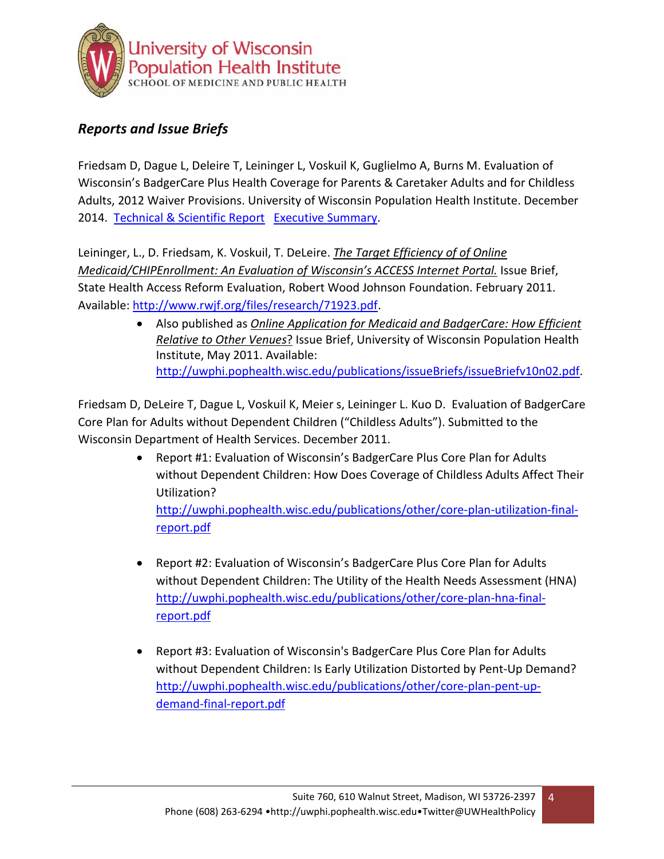

# *Reports and Issue Briefs*

Friedsam D, Dague L, Deleire T, Leininger L, Voskuil K, Guglielmo A, Burns M. Evaluation of Wisconsin's BadgerCare Plus Health Coverage for Parents & Caretaker Adults and for Childless Adults, 2012 Waiver Provisions. University of Wisconsin Population Health Institute. December 2014. [Technical & Scientific Report](http://uwphi.pophealth.wisc.edu/publications/other/badgercare-2012-waiver-evaluation-final.pdf) [Executive Summary](http://uwphi.pophealth.wisc.edu/publications/other/badgercare-2012-waiver-evaluation-executive-summary.pdf).

Leininger, L., D. Friedsam, K. Voskuil, T. DeLeire. *The Target Efficiency of of Online Medicaid/CHIPEnrollment: An Evaluation of Wisconsin's ACCESS Internet Portal.* Issue Brief, State Health Access Reform Evaluation, Robert Wood Johnson Foundation. February 2011. Available: [http://www.rwjf.org/files/research/71923.pdf.](http://www.rwjf.org/files/research/71923.pdf)

> • Also published as *Online Application for Medicaid and BadgerCare: How Efficient Relative to Other Venues*? Issue Brief, University of Wisconsin Population Health Institute, May 2011. Available: [http://uwphi.pophealth.wisc.edu/publications/issueBriefs/issue](http://uwphi.pophealth.wisc.edu/publications/issueBriefs/issueBriefv10n02.pdf)Briefv10n02.pdf.

Friedsam D, DeLeire T, Dague L, Voskuil K, Meier s, Leininger L. Kuo D. Evaluation of BadgerCare Core Plan for Adults without Dependent Children ("Childless Adults"). Submitted to the Wisconsin Department of Health Services. December 2011.

- Report #1: Evaluation of Wisconsin's BadgerCare Plus Core Plan for Adults without Dependent Children: How Does Coverage of Childless Adults Affect Their Utilization? [http://uwphi.pophealth.wisc.edu/publications/other/core-plan-](http://uwphi.pophealth.wisc.edu/publications/other/core-plan-utilization-final-report.pdf)utilization-final[report.pdf](http://uwphi.pophealth.wisc.edu/publications/other/core-plan-utilization-final-report.pdf)
- Report #2: Evaluation of Wisconsin's BadgerCare Plus Core Plan for Adults without Dependent Children: The Utility of the Health Needs Assessment (HNA) [http://uwphi.pophealth.wisc.edu/publications/other/core-plan-hna-final](http://uwphi.pophealth.wisc.edu/publications/other/core-plan-hna-final-report.pdf)[report.pdf](http://uwphi.pophealth.wisc.edu/publications/other/core-plan-hna-final-report.pdf)
- Report #3: Evaluation of Wisconsin's BadgerCare Plus Core Plan for Adults without Dependent Children: Is Early Utilization Distorted by Pent-Up Demand? [http://uwphi.pophealth.wisc.edu/publications/other/core-plan-pent-up](http://uwphi.pophealth.wisc.edu/publications/other/core-plan-pent-up-demand-final-report.pdf)demand[-final-report.pdf](http://uwphi.pophealth.wisc.edu/publications/other/core-plan-pent-up-demand-final-report.pdf)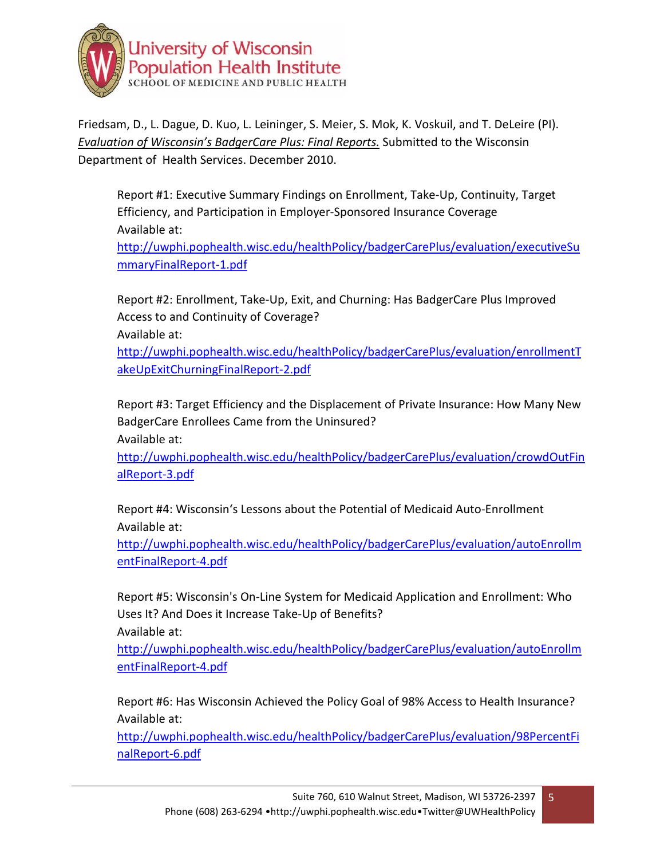

Friedsam, D., L. Dague, D. Kuo, L. Leininger, S. Meier, S. Mok, K. Voskuil, and T. DeLeire (PI). *Evaluation of Wisconsin's BadgerCare Plus: Final Reports.* Submitted to the Wisconsin Department of Health Services. December 2010.

Report #1: Executive Summary Findings on Enrollment, Take-Up, Continuity, Target Efficiency, and Participation in Employer-Sponsored Insurance Coverage Available at:

[http://uwphi.pophealth.wisc.edu/healthPolicy/badgerCarePlus/evaluation/executiveSu](http://uwphi.pophealth.wisc.edu/healthPolicy/badgerCarePlus/evaluation/executiveSummaryFinalReport-1.pdf) [mmaryFinalReport](http://uwphi.pophealth.wisc.edu/healthPolicy/badgerCarePlus/evaluation/executiveSummaryFinalReport-1.pdf)-1.pdf

Report #2: Enrollment, Take-Up, Exit, and Churning: Has BadgerCare Plus Improved Access to and Continuity of Coverage?

Available at:

[http://uwphi.pophealth.wisc.edu/healthPolicy/badgerCarePlus/evaluation/enrollmentT](http://uwphi.pophealth.wisc.edu/healthPolicy/badgerCarePlus/evaluation/enrollmentTakeUpExitChurningFinalReport-2.pdf) [akeUpExitChurningFinalReport](http://uwphi.pophealth.wisc.edu/healthPolicy/badgerCarePlus/evaluation/enrollmentTakeUpExitChurningFinalReport-2.pdf)-2.pdf

Report #3: Target Efficiency and the Displacement of Private Insurance: How Many New BadgerCare Enrollees Came from the Uninsured? Available at:

[http://uwphi.pophealth.wisc.edu/healthPolicy/badgerCarePlus/evaluation/crowdOutFin](http://uwphi.pophealth.wisc.edu/healthPolicy/badgerCarePlus/evaluation/crowdOutFinalReport-3.pdf) [alReport-3.pdf](http://uwphi.pophealth.wisc.edu/healthPolicy/badgerCarePlus/evaluation/crowdOutFinalReport-3.pdf)

Report #4: Wisconsin's Lessons about the Potential of Medicaid Auto-Enrollment Available at:

[http://uwphi.pophealth.wisc.edu/healthPolicy/badgerCarePlus/evaluation/autoEnrollm](http://uwphi.pophealth.wisc.edu/healthPolicy/badgerCarePlus/evaluation/autoEnrollmentFinalReport-4.pdf) [entFinalReport](http://uwphi.pophealth.wisc.edu/healthPolicy/badgerCarePlus/evaluation/autoEnrollmentFinalReport-4.pdf)-4.pdf

Report #5: Wisconsin's On-Line System for Medicaid Application and Enrollment: Who Uses It? And Does it Increase Take-Up of Benefits? Available at:

[http://uwphi.pophealth.wisc.edu/healthPolicy/badgerCarePlus/evaluation/autoEnrollm](http://uwphi.pophealth.wisc.edu/healthPolicy/badgerCarePlus/evaluation/autoEnrollmentFinalReport-4.pdf) [entFinalReport](http://uwphi.pophealth.wisc.edu/healthPolicy/badgerCarePlus/evaluation/autoEnrollmentFinalReport-4.pdf)-4.pdf

Report #6: Has Wisconsin Achieved the Policy Goal of 98% Access to Health Insurance? Available at:

[http://uwphi.pophealth.wisc.edu/healthPolicy/badgerCarePlus/evaluation/98PercentFi](http://uwphi.pophealth.wisc.edu/healthPolicy/badgerCarePlus/evaluation/98PercentFinalReport-6.pdf) [nalReport-6.pdf](http://uwphi.pophealth.wisc.edu/healthPolicy/badgerCarePlus/evaluation/98PercentFinalReport-6.pdf)